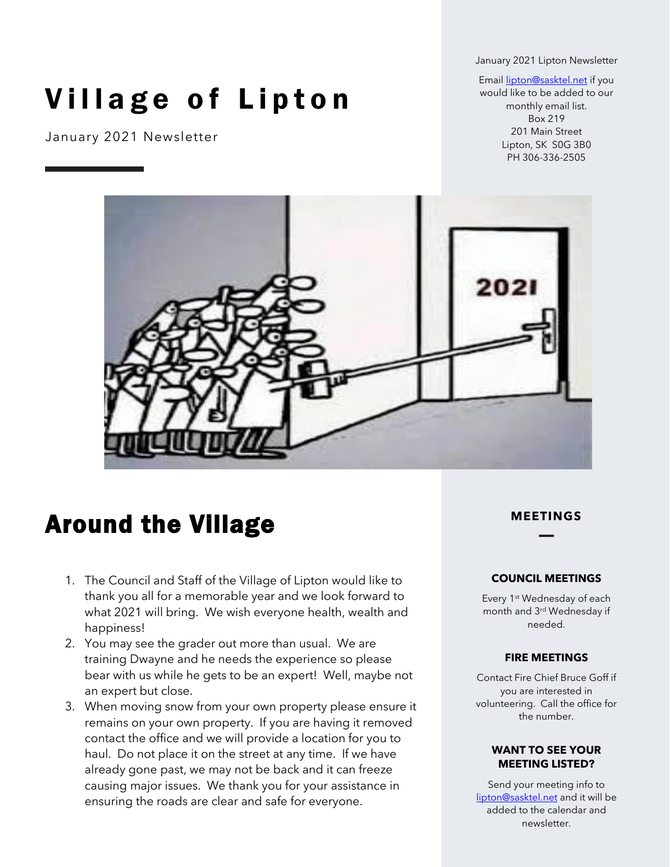January 2021 Lipton Newsletter

# Village of Lipton

January 2021 Newsletter

Emai[l lipton@sasktel.net](mailto:lipton@sasktel.net) if you would like to be added to our monthly email list. Box 219 201 Main Street Lipton, SK S0G 3B0 PH 306-336-2505



## Around the Village

- 1. The Council and Staff of the Village of Lipton would like to thank you all for a memorable year and we look forward to what 2021 will bring. We wish everyone health, wealth and happiness!
- 2. You may see the grader out more than usual. We are training Dwayne and he needs the experience so please bear with us while he gets to be an expert! Well, maybe not an expert but close.
- 3. When moving snow from your own property please ensure it remains on your own property. If you are having it removed contact the office and we will provide a location for you to haul. Do not place it on the street at any time. If we have already gone past, we may not be back and it can freeze causing major issues. We thank you for your assistance in ensuring the roads are clear and safe for everyone.

#### **MEETINGS**

#### **COUNCIL MEETINGS**

Every 1st Wednesday of each month and 3rd Wednesday if needed.

#### **FIRE MEETINGS**

Contact Fire Chief Bruce Goff if you are interested in volunteering. Call the office for the number.

#### **WANT TO SEE YOUR MEETING LISTED?**

Send your meeting info to [lipton@sasktel.net](mailto:lipton@sasktel.net) and it will be added to the calendar and newsletter.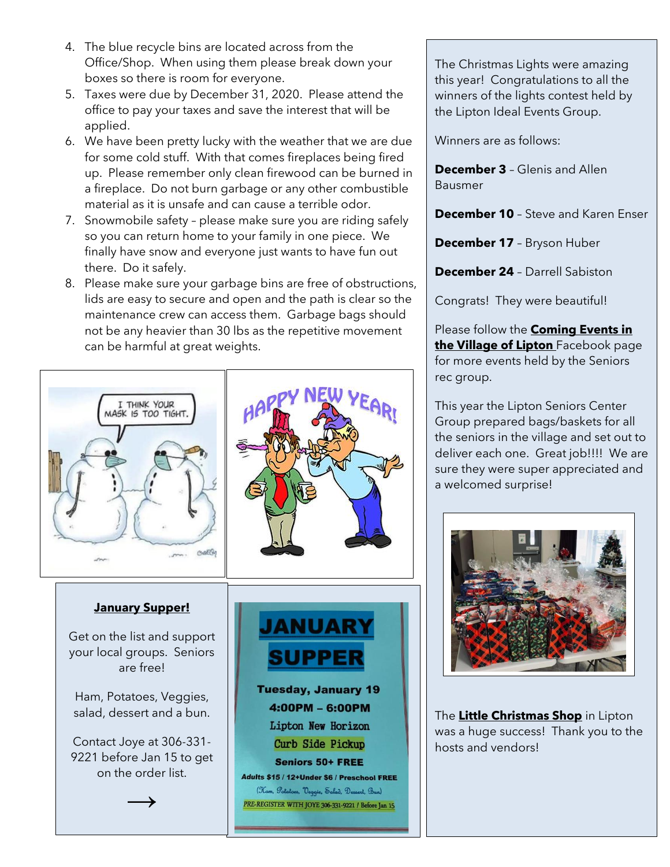- 4. The blue recycle bins are located across from the Office/Shop. When using them please break down your boxes so there is room for everyone.
- 5. Taxes were due by December 31, 2020. Please attend the office to pay your taxes and save the interest that will be applied.
- 6. We have been pretty lucky with the weather that we are due for some cold stuff. With that comes fireplaces being fired up. Please remember only clean firewood can be burned in a fireplace. Do not burn garbage or any other combustible material as it is unsafe and can cause a terrible odor.
- 7. Snowmobile safety please make sure you are riding safely so you can return home to your family in one piece. We finally have snow and everyone just wants to have fun out there. Do it safely.
- 8. Please make sure your garbage bins are free of obstructions, lids are easy to secure and open and the path is clear so the maintenance crew can access them. Garbage bags should not be any heavier than 30 lbs as the repetitive movement can be harmful at great weights.



The Christmas Lights were amazing this year! Congratulations to all the winners of the lights contest held by the Lipton Ideal Events Group.

Winners are as follows:

**December 3** – Glenis and Allen Bausmer

**December 10** – Steve and Karen Enser

**December 17** – Bryson Huber

**December 24** – Darrell Sabiston

Congrats! They were beautiful!

Please follow the **Coming Events in the Village of Lipton** Facebook page for more events held by the Seniors rec group.

This year the Lipton Seniors Center Group prepared bags/baskets for all the seniors in the village and set out to deliver each one. Great job!!!! We are sure they were super appreciated and a welcomed surprise!



The **Little Christmas Shop** in Lipton was a huge success! Thank you to the hosts and vendors!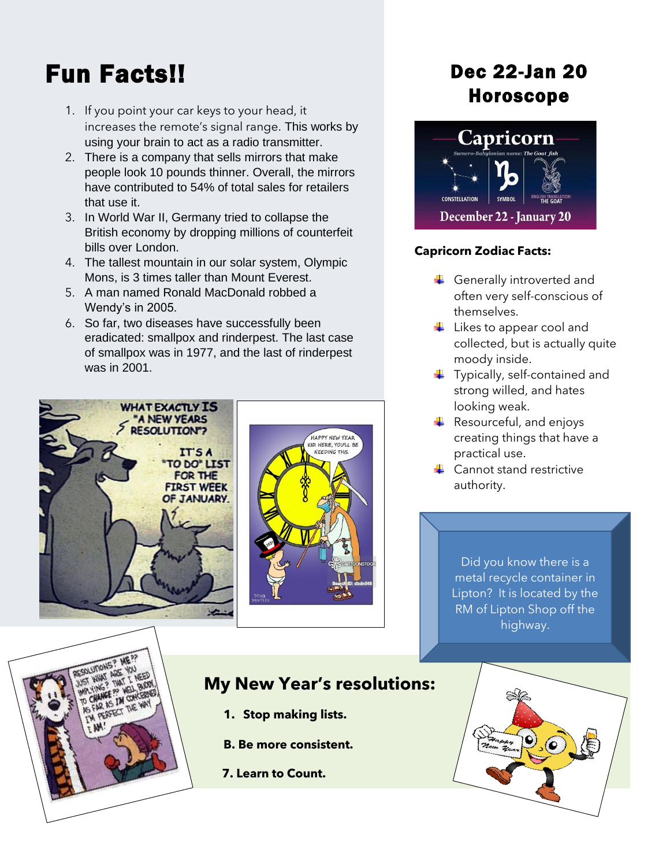## Fun Facts!!

- 1. If you point your car keys to your head, it increases the remote's signal range. This works by using your brain to act as a radio transmitter.
- 2. There is a company that sells mirrors that make people look 10 pounds thinner. Overall, the mirrors have contributed to 54% of total sales for retailers that use it.
- 3. In World War II, Germany tried to collapse the British economy by dropping millions of counterfeit bills over London.
- 4. The tallest mountain in our solar system, Olympic Mons, is 3 times taller than Mount Everest.
- 5. A man named Ronald MacDonald robbed a Wendy's in 2005.
- 6. So far, two diseases have successfully been eradicated: smallpox and rinderpest. The last case of smallpox was in 1977, and the last of rinderpest was in 2001.





### Dec 22-Jan 20 Horoscope



#### **Capricorn Zodiac Facts:**

- Generally introverted and often very self-conscious of themselves.
- $\overline{\phantom{a}}$  Likes to appear cool and collected, but is actually quite moody inside.
- $\ddot{\bullet}$  Typically, self-contained and strong willed, and hates looking weak.
- $\leftarrow$  Resourceful, and enjoys creating things that have a practical use.
- **↓** Cannot stand restrictive authority.

Did you know there is a metal recycle container in Lipton? It is located by the RM of Lipton Shop off the highway.



### **My New Year's resolutions:**

- **1. Stop making lists.**
- **B. Be more consistent.**
- **7. Learn to Count.**